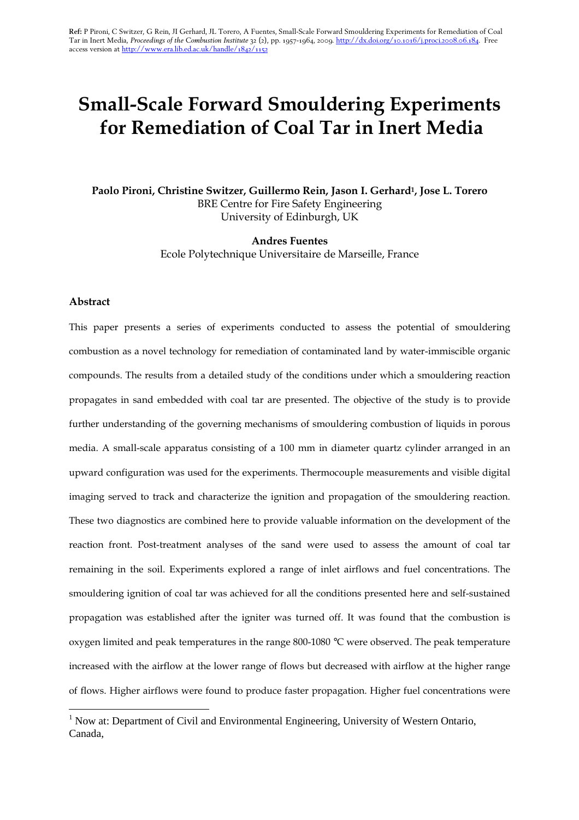# Small-Scale Forward Smouldering Experiments for Remediation of Coal Tar in Inert Media

Paolo Pironi, Christine Switzer, Guillermo Rein, Jason I. Gerhard<sup>1</sup>, Jose L. Torero BRE Centre for Fire Safety Engineering University of Edinburgh, UK

> Andres Fuentes Ecole Polytechnique Universitaire de Marseille, France

#### Abstract

 $\overline{a}$ 

This paper presents a series of experiments conducted to assess the potential of smouldering combustion as a novel technology for remediation of contaminated land by water-immiscible organic compounds. The results from a detailed study of the conditions under which a smouldering reaction propagates in sand embedded with coal tar are presented. The objective of the study is to provide further understanding of the governing mechanisms of smouldering combustion of liquids in porous media. A small-scale apparatus consisting of a 100 mm in diameter quartz cylinder arranged in an upward configuration was used for the experiments. Thermocouple measurements and visible digital imaging served to track and characterize the ignition and propagation of the smouldering reaction. These two diagnostics are combined here to provide valuable information on the development of the reaction front. Post-treatment analyses of the sand were used to assess the amount of coal tar remaining in the soil. Experiments explored a range of inlet airflows and fuel concentrations. The smouldering ignition of coal tar was achieved for all the conditions presented here and self-sustained propagation was established after the igniter was turned off. It was found that the combustion is oxygen limited and peak temperatures in the range 800-1080 °C were observed. The peak temperature increased with the airflow at the lower range of flows but decreased with airflow at the higher range of flows. Higher airflows were found to produce faster propagation. Higher fuel concentrations were

<sup>&</sup>lt;sup>1</sup> Now at: Department of Civil and Environmental Engineering, University of Western Ontario, Canada,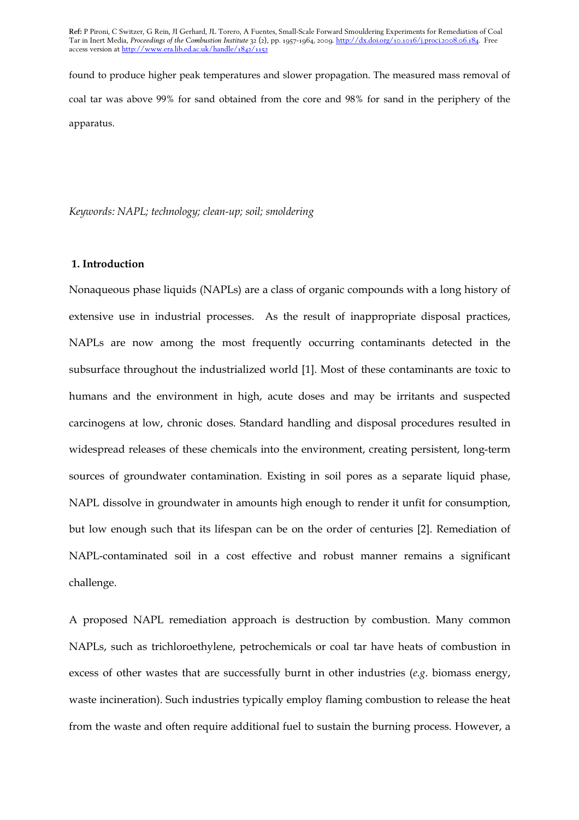found to produce higher peak temperatures and slower propagation. The measured mass removal of coal tar was above 99% for sand obtained from the core and 98% for sand in the periphery of the apparatus.

Keywords: NAPL; technology; clean-up; soil; smoldering

## 1. Introduction

Nonaqueous phase liquids (NAPLs) are a class of organic compounds with a long history of extensive use in industrial processes. As the result of inappropriate disposal practices, NAPLs are now among the most frequently occurring contaminants detected in the subsurface throughout the industrialized world [1]. Most of these contaminants are toxic to humans and the environment in high, acute doses and may be irritants and suspected carcinogens at low, chronic doses. Standard handling and disposal procedures resulted in widespread releases of these chemicals into the environment, creating persistent, long-term sources of groundwater contamination. Existing in soil pores as a separate liquid phase, NAPL dissolve in groundwater in amounts high enough to render it unfit for consumption, but low enough such that its lifespan can be on the order of centuries [2]. Remediation of NAPL-contaminated soil in a cost effective and robust manner remains a significant challenge.

A proposed NAPL remediation approach is destruction by combustion. Many common NAPLs, such as trichloroethylene, petrochemicals or coal tar have heats of combustion in excess of other wastes that are successfully burnt in other industries (e.g. biomass energy, waste incineration). Such industries typically employ flaming combustion to release the heat from the waste and often require additional fuel to sustain the burning process. However, a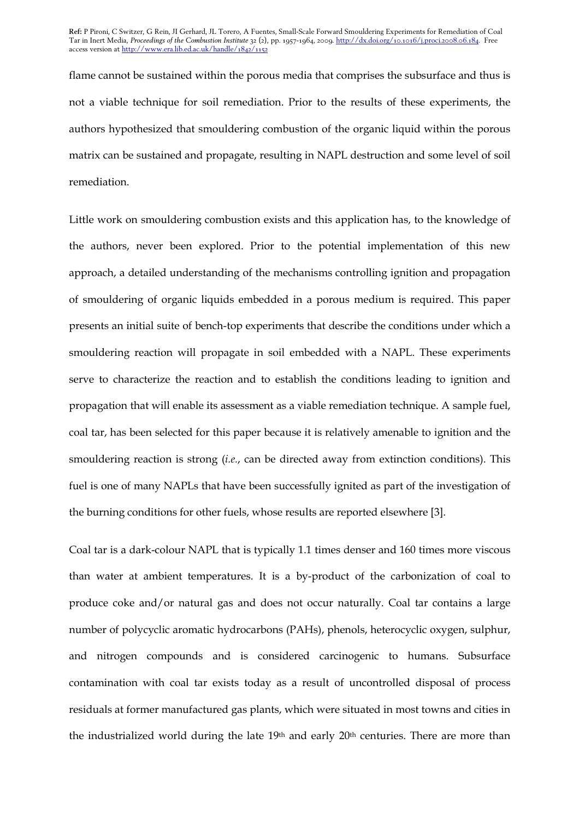flame cannot be sustained within the porous media that comprises the subsurface and thus is not a viable technique for soil remediation. Prior to the results of these experiments, the authors hypothesized that smouldering combustion of the organic liquid within the porous matrix can be sustained and propagate, resulting in NAPL destruction and some level of soil remediation.

Little work on smouldering combustion exists and this application has, to the knowledge of the authors, never been explored. Prior to the potential implementation of this new approach, a detailed understanding of the mechanisms controlling ignition and propagation of smouldering of organic liquids embedded in a porous medium is required. This paper presents an initial suite of bench-top experiments that describe the conditions under which a smouldering reaction will propagate in soil embedded with a NAPL. These experiments serve to characterize the reaction and to establish the conditions leading to ignition and propagation that will enable its assessment as a viable remediation technique. A sample fuel, coal tar, has been selected for this paper because it is relatively amenable to ignition and the smouldering reaction is strong (i.e., can be directed away from extinction conditions). This fuel is one of many NAPLs that have been successfully ignited as part of the investigation of the burning conditions for other fuels, whose results are reported elsewhere [3].

Coal tar is a dark-colour NAPL that is typically 1.1 times denser and 160 times more viscous than water at ambient temperatures. It is a by-product of the carbonization of coal to produce coke and/or natural gas and does not occur naturally. Coal tar contains a large number of polycyclic aromatic hydrocarbons (PAHs), phenols, heterocyclic oxygen, sulphur, and nitrogen compounds and is considered carcinogenic to humans. Subsurface contamination with coal tar exists today as a result of uncontrolled disposal of process residuals at former manufactured gas plants, which were situated in most towns and cities in the industrialized world during the late 19<sup>th</sup> and early 20<sup>th</sup> centuries. There are more than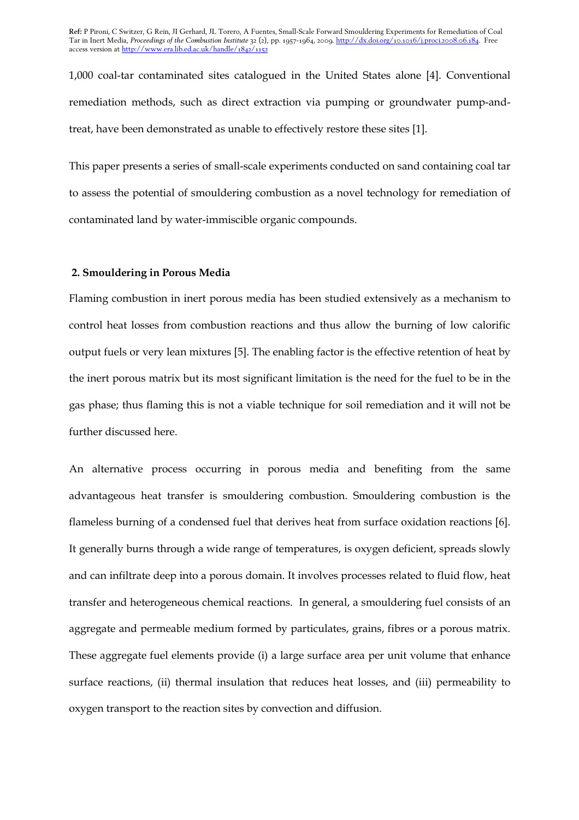1,000 coal-tar contaminated sites catalogued in the United States alone [4]. Conventional remediation methods, such as direct extraction via pumping or groundwater pump-andtreat, have been demonstrated as unable to effectively restore these sites [1].

This paper presents a series of small-scale experiments conducted on sand containing coal tar to assess the potential of smouldering combustion as a novel technology for remediation of contaminated land by water-immiscible organic compounds.

## 2. Smouldering in Porous Media

Flaming combustion in inert porous media has been studied extensively as a mechanism to control heat losses from combustion reactions and thus allow the burning of low calorific output fuels or very lean mixtures [5]. The enabling factor is the effective retention of heat by the inert porous matrix but its most significant limitation is the need for the fuel to be in the gas phase; thus flaming this is not a viable technique for soil remediation and it will not be further discussed here.

An alternative process occurring in porous media and benefiting from the same advantageous heat transfer is smouldering combustion. Smouldering combustion is the flameless burning of a condensed fuel that derives heat from surface oxidation reactions [6]. It generally burns through a wide range of temperatures, is oxygen deficient, spreads slowly and can infiltrate deep into a porous domain. It involves processes related to fluid flow, heat transfer and heterogeneous chemical reactions. In general, a smouldering fuel consists of an aggregate and permeable medium formed by particulates, grains, fibres or a porous matrix. These aggregate fuel elements provide (i) a large surface area per unit volume that enhance surface reactions, (ii) thermal insulation that reduces heat losses, and (iii) permeability to oxygen transport to the reaction sites by convection and diffusion.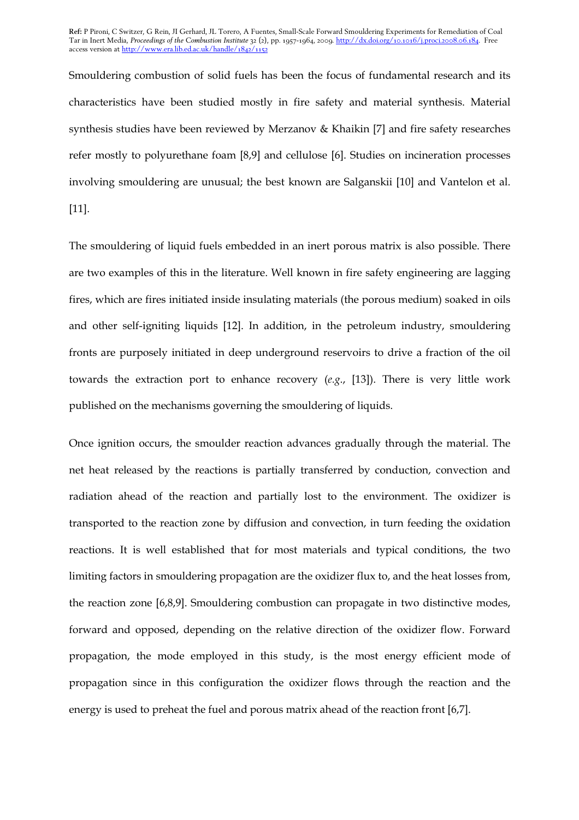Smouldering combustion of solid fuels has been the focus of fundamental research and its characteristics have been studied mostly in fire safety and material synthesis. Material synthesis studies have been reviewed by Merzanov & Khaikin [7] and fire safety researches refer mostly to polyurethane foam [8,9] and cellulose [6]. Studies on incineration processes involving smouldering are unusual; the best known are Salganskii [10] and Vantelon et al. [11].

The smouldering of liquid fuels embedded in an inert porous matrix is also possible. There are two examples of this in the literature. Well known in fire safety engineering are lagging fires, which are fires initiated inside insulating materials (the porous medium) soaked in oils and other self-igniting liquids [12]. In addition, in the petroleum industry, smouldering fronts are purposely initiated in deep underground reservoirs to drive a fraction of the oil towards the extraction port to enhance recovery (e.g., [13]). There is very little work published on the mechanisms governing the smouldering of liquids.

Once ignition occurs, the smoulder reaction advances gradually through the material. The net heat released by the reactions is partially transferred by conduction, convection and radiation ahead of the reaction and partially lost to the environment. The oxidizer is transported to the reaction zone by diffusion and convection, in turn feeding the oxidation reactions. It is well established that for most materials and typical conditions, the two limiting factors in smouldering propagation are the oxidizer flux to, and the heat losses from, the reaction zone [6,8,9]. Smouldering combustion can propagate in two distinctive modes, forward and opposed, depending on the relative direction of the oxidizer flow. Forward propagation, the mode employed in this study, is the most energy efficient mode of propagation since in this configuration the oxidizer flows through the reaction and the energy is used to preheat the fuel and porous matrix ahead of the reaction front [6,7].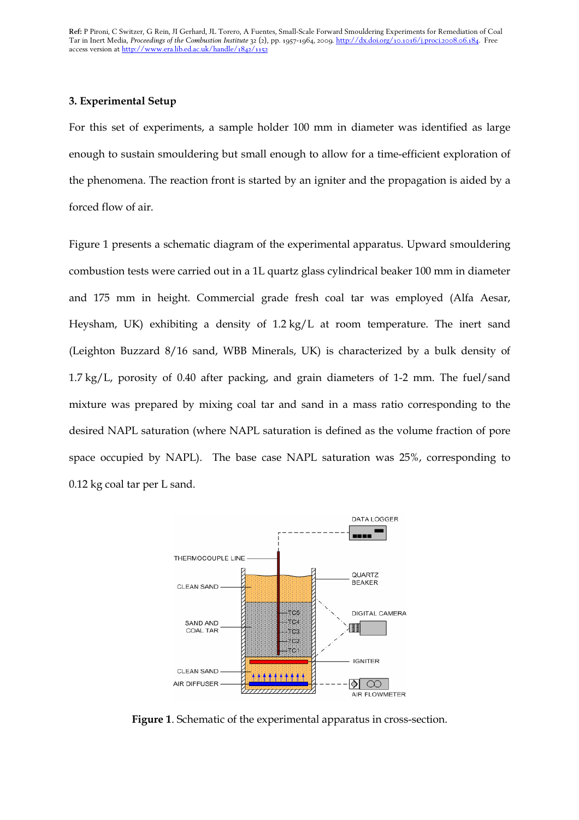# 3. Experimental Setup

For this set of experiments, a sample holder 100 mm in diameter was identified as large enough to sustain smouldering but small enough to allow for a time-efficient exploration of the phenomena. The reaction front is started by an igniter and the propagation is aided by a forced flow of air.

Figure 1 presents a schematic diagram of the experimental apparatus. Upward smouldering combustion tests were carried out in a 1L quartz glass cylindrical beaker 100 mm in diameter and 175 mm in height. Commercial grade fresh coal tar was employed (Alfa Aesar, Heysham, UK) exhibiting a density of 1.2 kg/L at room temperature. The inert sand (Leighton Buzzard 8/16 sand, WBB Minerals, UK) is characterized by a bulk density of 1.7 kg/L, porosity of 0.40 after packing, and grain diameters of 1-2 mm. The fuel/sand mixture was prepared by mixing coal tar and sand in a mass ratio corresponding to the desired NAPL saturation (where NAPL saturation is defined as the volume fraction of pore space occupied by NAPL). The base case NAPL saturation was 25%, corresponding to 0.12 kg coal tar per L sand.



Figure 1. Schematic of the experimental apparatus in cross-section.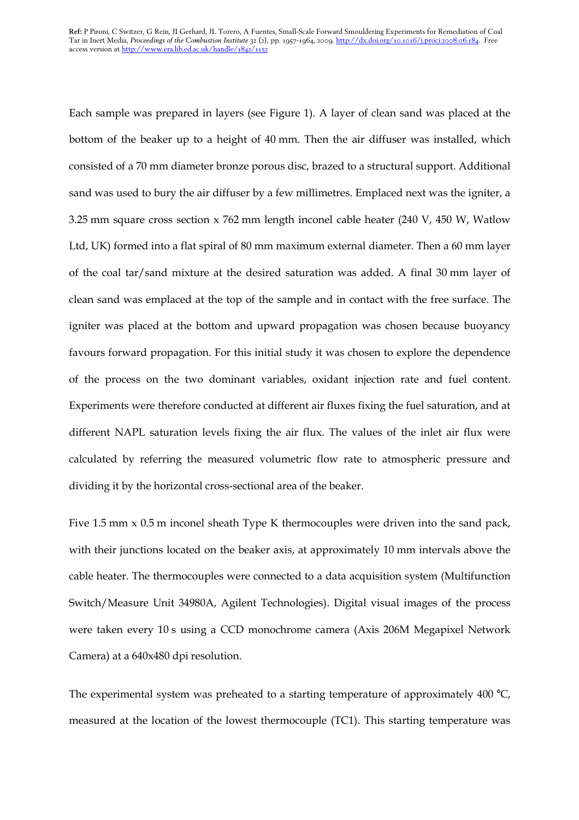Each sample was prepared in layers (see Figure 1). A layer of clean sand was placed at the bottom of the beaker up to a height of 40 mm. Then the air diffuser was installed, which consisted of a 70 mm diameter bronze porous disc, brazed to a structural support. Additional sand was used to bury the air diffuser by a few millimetres. Emplaced next was the igniter, a 3.25 mm square cross section x 762 mm length inconel cable heater (240 V, 450 W, Watlow Ltd, UK) formed into a flat spiral of 80 mm maximum external diameter. Then a 60 mm layer of the coal tar/sand mixture at the desired saturation was added. A final 30 mm layer of clean sand was emplaced at the top of the sample and in contact with the free surface. The igniter was placed at the bottom and upward propagation was chosen because buoyancy favours forward propagation. For this initial study it was chosen to explore the dependence of the process on the two dominant variables, oxidant injection rate and fuel content. Experiments were therefore conducted at different air fluxes fixing the fuel saturation, and at different NAPL saturation levels fixing the air flux. The values of the inlet air flux were calculated by referring the measured volumetric flow rate to atmospheric pressure and dividing it by the horizontal cross-sectional area of the beaker.

Five 1.5 mm x 0.5 m inconel sheath Type K thermocouples were driven into the sand pack, with their junctions located on the beaker axis, at approximately 10 mm intervals above the cable heater. The thermocouples were connected to a data acquisition system (Multifunction Switch/Measure Unit 34980A, Agilent Technologies). Digital visual images of the process were taken every 10 s using a CCD monochrome camera (Axis 206M Megapixel Network Camera) at a 640x480 dpi resolution.

The experimental system was preheated to a starting temperature of approximately  $400 \degree C$ , measured at the location of the lowest thermocouple (TC1). This starting temperature was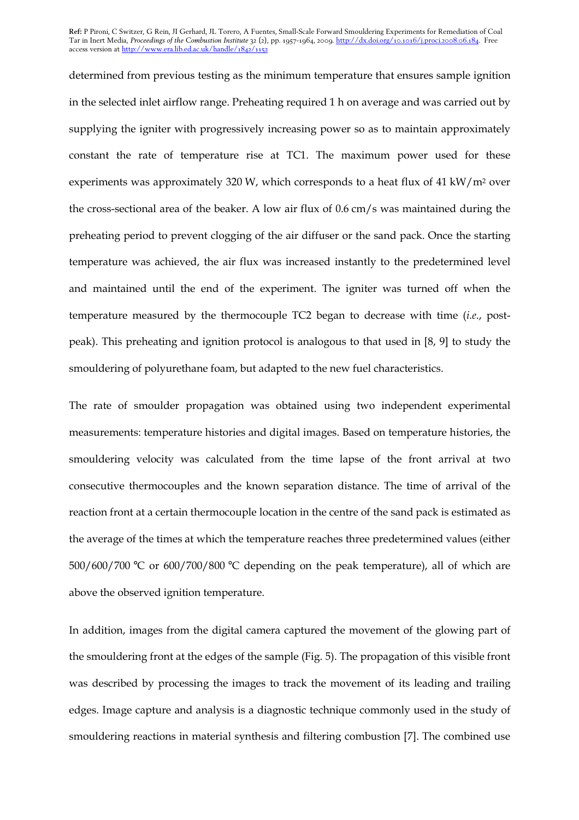determined from previous testing as the minimum temperature that ensures sample ignition in the selected inlet airflow range. Preheating required 1 h on average and was carried out by supplying the igniter with progressively increasing power so as to maintain approximately constant the rate of temperature rise at TC1. The maximum power used for these experiments was approximately 320 W, which corresponds to a heat flux of 41 kW/m2 over the cross-sectional area of the beaker. A low air flux of 0.6 cm/s was maintained during the preheating period to prevent clogging of the air diffuser or the sand pack. Once the starting temperature was achieved, the air flux was increased instantly to the predetermined level and maintained until the end of the experiment. The igniter was turned off when the temperature measured by the thermocouple TC2 began to decrease with time (i.e., postpeak). This preheating and ignition protocol is analogous to that used in [8, 9] to study the smouldering of polyurethane foam, but adapted to the new fuel characteristics.

The rate of smoulder propagation was obtained using two independent experimental measurements: temperature histories and digital images. Based on temperature histories, the smouldering velocity was calculated from the time lapse of the front arrival at two consecutive thermocouples and the known separation distance. The time of arrival of the reaction front at a certain thermocouple location in the centre of the sand pack is estimated as the average of the times at which the temperature reaches three predetermined values (either 500/600/700 °C or 600/700/800 °C depending on the peak temperature), all of which are above the observed ignition temperature.

In addition, images from the digital camera captured the movement of the glowing part of the smouldering front at the edges of the sample (Fig. 5). The propagation of this visible front was described by processing the images to track the movement of its leading and trailing edges. Image capture and analysis is a diagnostic technique commonly used in the study of smouldering reactions in material synthesis and filtering combustion [7]. The combined use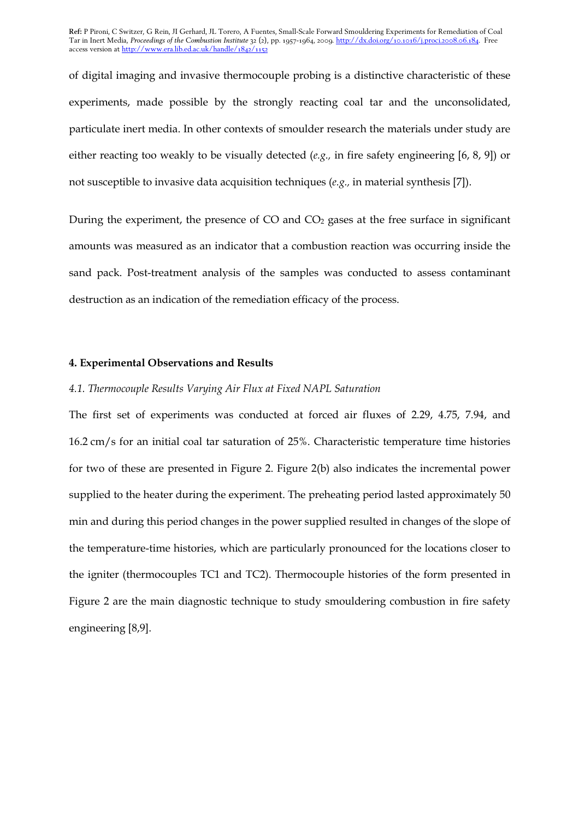of digital imaging and invasive thermocouple probing is a distinctive characteristic of these experiments, made possible by the strongly reacting coal tar and the unconsolidated, particulate inert media. In other contexts of smoulder research the materials under study are either reacting too weakly to be visually detected (e.g., in fire safety engineering [6, 8, 9]) or not susceptible to invasive data acquisition techniques (e.g., in material synthesis [7]).

During the experiment, the presence of  $CO$  and  $CO<sub>2</sub>$  gases at the free surface in significant amounts was measured as an indicator that a combustion reaction was occurring inside the sand pack. Post-treatment analysis of the samples was conducted to assess contaminant destruction as an indication of the remediation efficacy of the process.

## 4. Experimental Observations and Results

## 4.1. Thermocouple Results Varying Air Flux at Fixed NAPL Saturation

The first set of experiments was conducted at forced air fluxes of 2.29, 4.75, 7.94, and 16.2 cm/s for an initial coal tar saturation of 25%. Characteristic temperature time histories for two of these are presented in Figure 2. Figure 2(b) also indicates the incremental power supplied to the heater during the experiment. The preheating period lasted approximately 50 min and during this period changes in the power supplied resulted in changes of the slope of the temperature-time histories, which are particularly pronounced for the locations closer to the igniter (thermocouples TC1 and TC2). Thermocouple histories of the form presented in Figure 2 are the main diagnostic technique to study smouldering combustion in fire safety engineering [8,9].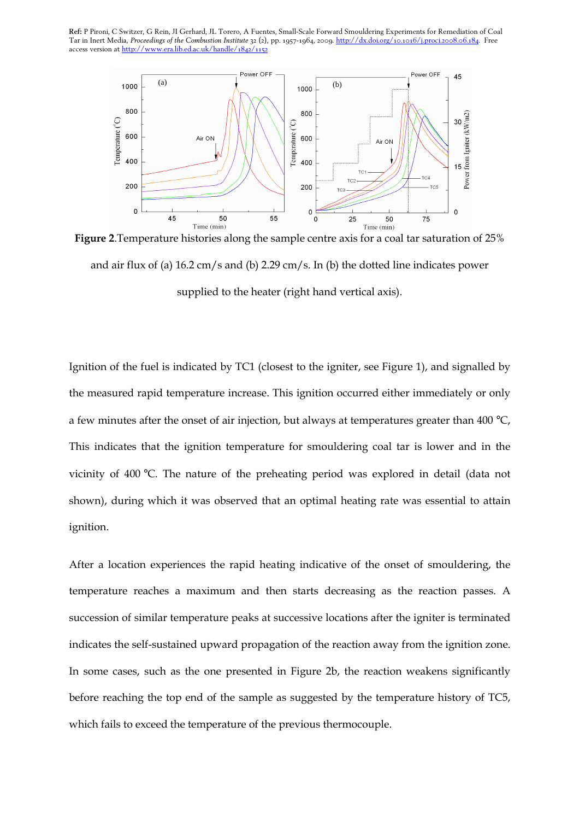

Figure 2.Temperature histories along the sample centre axis for a coal tar saturation of 25% and air flux of (a) 16.2 cm/s and (b) 2.29 cm/s. In (b) the dotted line indicates power supplied to the heater (right hand vertical axis).

Ignition of the fuel is indicated by TC1 (closest to the igniter, see Figure 1), and signalled by the measured rapid temperature increase. This ignition occurred either immediately or only a few minutes after the onset of air injection, but always at temperatures greater than 400 °C, This indicates that the ignition temperature for smouldering coal tar is lower and in the vicinity of 400 °C. The nature of the preheating period was explored in detail (data not shown), during which it was observed that an optimal heating rate was essential to attain ignition.

After a location experiences the rapid heating indicative of the onset of smouldering, the temperature reaches a maximum and then starts decreasing as the reaction passes. A succession of similar temperature peaks at successive locations after the igniter is terminated indicates the self-sustained upward propagation of the reaction away from the ignition zone. In some cases, such as the one presented in Figure 2b, the reaction weakens significantly before reaching the top end of the sample as suggested by the temperature history of TC5, which fails to exceed the temperature of the previous thermocouple.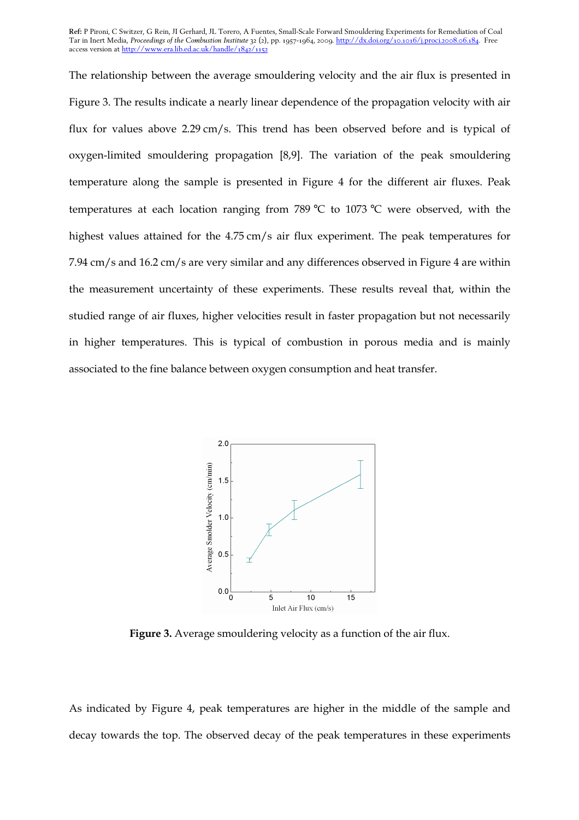The relationship between the average smouldering velocity and the air flux is presented in Figure 3. The results indicate a nearly linear dependence of the propagation velocity with air flux for values above 2.29 cm/s. This trend has been observed before and is typical of oxygen-limited smouldering propagation [8,9]. The variation of the peak smouldering temperature along the sample is presented in Figure 4 for the different air fluxes. Peak temperatures at each location ranging from 789 °C to 1073 °C were observed, with the highest values attained for the 4.75 cm/s air flux experiment. The peak temperatures for 7.94 cm/s and 16.2 cm/s are very similar and any differences observed in Figure 4 are within the measurement uncertainty of these experiments. These results reveal that, within the studied range of air fluxes, higher velocities result in faster propagation but not necessarily in higher temperatures. This is typical of combustion in porous media and is mainly associated to the fine balance between oxygen consumption and heat transfer.



Figure 3. Average smouldering velocity as a function of the air flux.

As indicated by Figure 4, peak temperatures are higher in the middle of the sample and decay towards the top. The observed decay of the peak temperatures in these experiments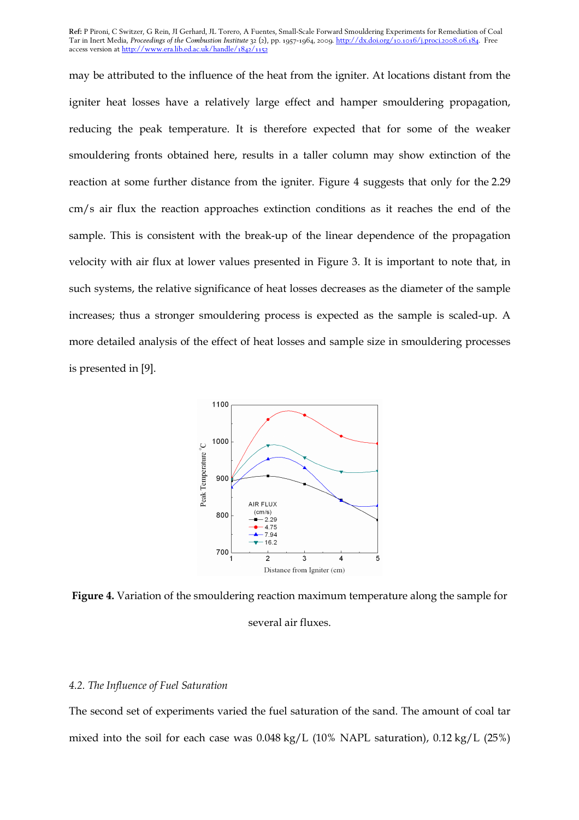may be attributed to the influence of the heat from the igniter. At locations distant from the igniter heat losses have a relatively large effect and hamper smouldering propagation, reducing the peak temperature. It is therefore expected that for some of the weaker smouldering fronts obtained here, results in a taller column may show extinction of the reaction at some further distance from the igniter. Figure 4 suggests that only for the 2.29 cm/s air flux the reaction approaches extinction conditions as it reaches the end of the sample. This is consistent with the break-up of the linear dependence of the propagation velocity with air flux at lower values presented in Figure 3. It is important to note that, in such systems, the relative significance of heat losses decreases as the diameter of the sample increases; thus a stronger smouldering process is expected as the sample is scaled-up. A more detailed analysis of the effect of heat losses and sample size in smouldering processes is presented in [9].



Figure 4. Variation of the smouldering reaction maximum temperature along the sample for several air fluxes.

## 4.2. The Influence of Fuel Saturation

The second set of experiments varied the fuel saturation of the sand. The amount of coal tar mixed into the soil for each case was 0.048 kg/L (10% NAPL saturation), 0.12 kg/L (25%)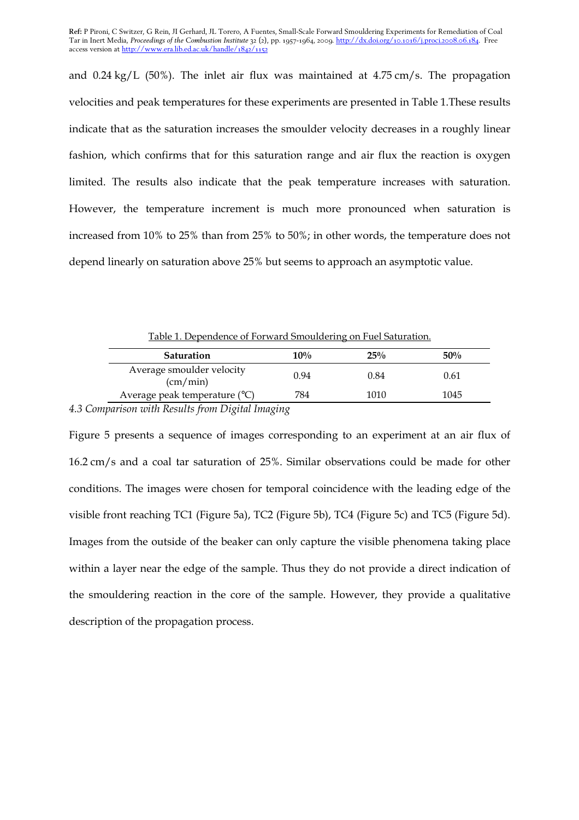and 0.24 kg/L (50%). The inlet air flux was maintained at 4.75 cm/s. The propagation velocities and peak temperatures for these experiments are presented in Table 1.These results indicate that as the saturation increases the smoulder velocity decreases in a roughly linear fashion, which confirms that for this saturation range and air flux the reaction is oxygen limited. The results also indicate that the peak temperature increases with saturation. However, the temperature increment is much more pronounced when saturation is increased from 10% to 25% than from 25% to 50%; in other words, the temperature does not depend linearly on saturation above 25% but seems to approach an asymptotic value.

Table 1. Dependence of Forward Smouldering on Fuel Saturation.

| Saturation                                                        | $10\%$ | 25%  | $50\%$ |
|-------------------------------------------------------------------|--------|------|--------|
| Average smoulder velocity<br>$\frac{\text{(cm/min)}}{\text{min}}$ | 0.94   | 0.84 | 0.61   |
| Average peak temperature $(^{\circ}C)$                            | 784    | 1010 | 1045   |

4.3 Comparison with Results from Digital Imaging

Figure 5 presents a sequence of images corresponding to an experiment at an air flux of 16.2 cm/s and a coal tar saturation of 25%. Similar observations could be made for other conditions. The images were chosen for temporal coincidence with the leading edge of the visible front reaching TC1 (Figure 5a), TC2 (Figure 5b), TC4 (Figure 5c) and TC5 (Figure 5d). Images from the outside of the beaker can only capture the visible phenomena taking place within a layer near the edge of the sample. Thus they do not provide a direct indication of the smouldering reaction in the core of the sample. However, they provide a qualitative description of the propagation process.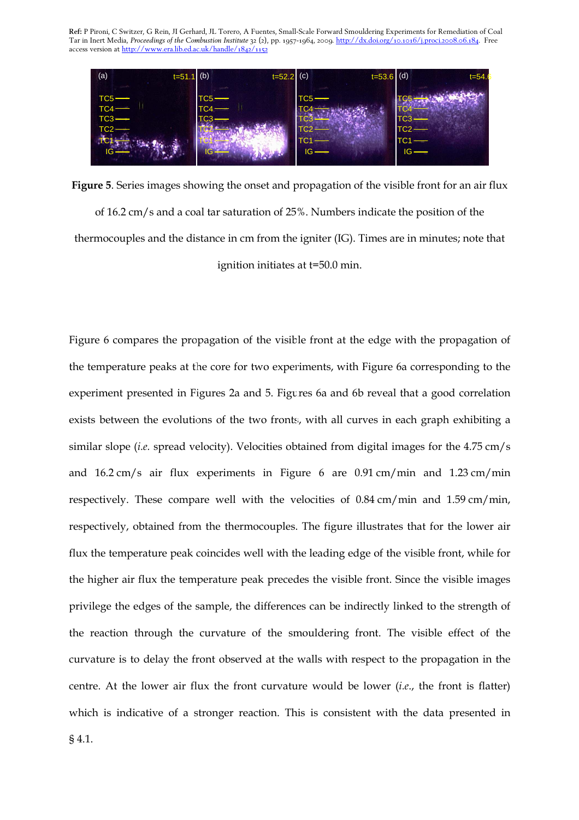

Figure 5. Series images showing the onset and propagation of the visible front for an air flux of 16.2 cm/s and a coal tar saturation of 25%. Numbers indicate the position of the thermocouples and the distance in cm from the igniter (IG). Times are in minutes; note that ignition initiates at t=50.0 min.

Figure 6 compares the propagation of the visible front at the edge with the propagation of the temperature peaks at the core for two experiments, with Figure 6a corresponding to the experiment presented in Figures 2a and 5. Figures 6a and 6b reveal that a good correlation exists between the evolutions of the two fronts, with all curves in each graph exhibiting a similar slope (i.e. spread velocity). Velocities obtained from digital images for the 4.75 cm/s and 16.2 cm/s air flux experiments in Figure 6 are 0.91 cm/min and 1.23 cm/min respectively. These compare well with the velocities of 0.84 cm/min and 1.59 cm/min, respectively, obtained from the thermocouples. The figure illustrates that for the lower air flux the temperature peak coincides well with the leading edge of the visible front, while for the higher air flux the temperature peak precedes the visible front. Since the visible images privilege the edges of the sample, the differences can be indirectly linked to the strength of the reaction through the curvature of the smouldering front. The visible effect of the curvature is to delay the front observed at the walls with respect to the propagation in the centre. At the lower air flux the front curvature would be lower (i.e., the front is flatter) which is indicative of a stronger reaction. This is consistent with the data presented in § 4.1.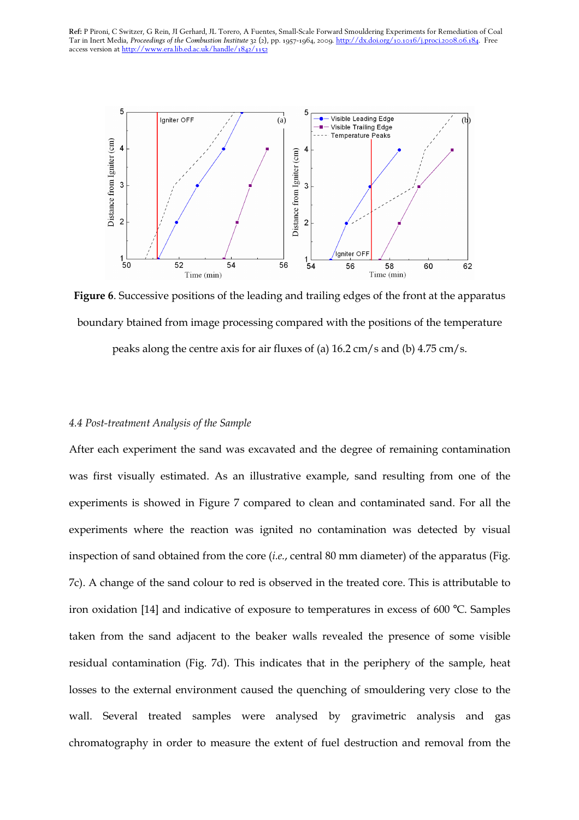

Figure 6. Successive positions of the leading and trailing edges of the front at the apparatus boundary btained from image processing compared with the positions of the temperature

peaks along the centre axis for air fluxes of (a) 16.2 cm/s and (b) 4.75 cm/s.

#### 4.4 Post-treatment Analysis of the Sample

After each experiment the sand was excavated and the degree of remaining contamination was first visually estimated. As an illustrative example, sand resulting from one of the experiments is showed in Figure 7 compared to clean and contaminated sand. For all the experiments where the reaction was ignited no contamination was detected by visual inspection of sand obtained from the core (i.e., central 80 mm diameter) of the apparatus (Fig. 7c). A change of the sand colour to red is observed in the treated core. This is attributable to iron oxidation [14] and indicative of exposure to temperatures in excess of 600 °C. Samples taken from the sand adjacent to the beaker walls revealed the presence of some visible residual contamination (Fig. 7d). This indicates that in the periphery of the sample, heat losses to the external environment caused the quenching of smouldering very close to the wall. Several treated samples were analysed by gravimetric analysis and gas chromatography in order to measure the extent of fuel destruction and removal from the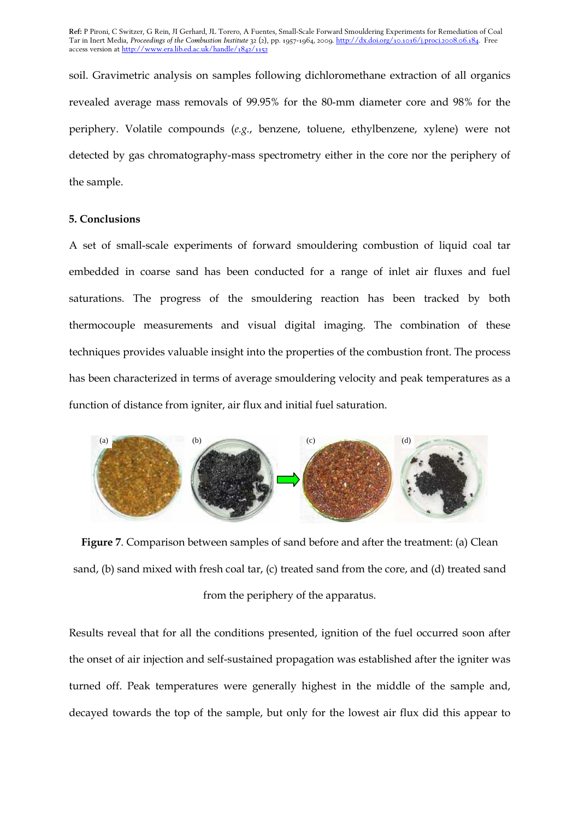soil. Gravimetric analysis on samples following dichloromethane extraction of all organics revealed average mass removals of 99.95% for the 80-mm diameter core and 98% for the periphery. Volatile compounds (e.g., benzene, toluene, ethylbenzene, xylene) were not detected by gas chromatography-mass spectrometry either in the core nor the periphery of the sample.

## 5. Conclusions

A set of small-scale experiments of forward smouldering combustion of liquid coal tar embedded in coarse sand has been conducted for a range of inlet air fluxes and fuel saturations. The progress of the smouldering reaction has been tracked by both thermocouple measurements and visual digital imaging. The combination of these techniques provides valuable insight into the properties of the combustion front. The process has been characterized in terms of average smouldering velocity and peak temperatures as a function of distance from igniter, air flux and initial fuel saturation.



Figure 7. Comparison between samples of sand before and after the treatment: (a) Clean sand, (b) sand mixed with fresh coal tar, (c) treated sand from the core, and (d) treated sand from the periphery of the apparatus.

Results reveal that for all the conditions presented, ignition of the fuel occurred soon after the onset of air injection and self-sustained propagation was established after the igniter was turned off. Peak temperatures were generally highest in the middle of the sample and, decayed towards the top of the sample, but only for the lowest air flux did this appear to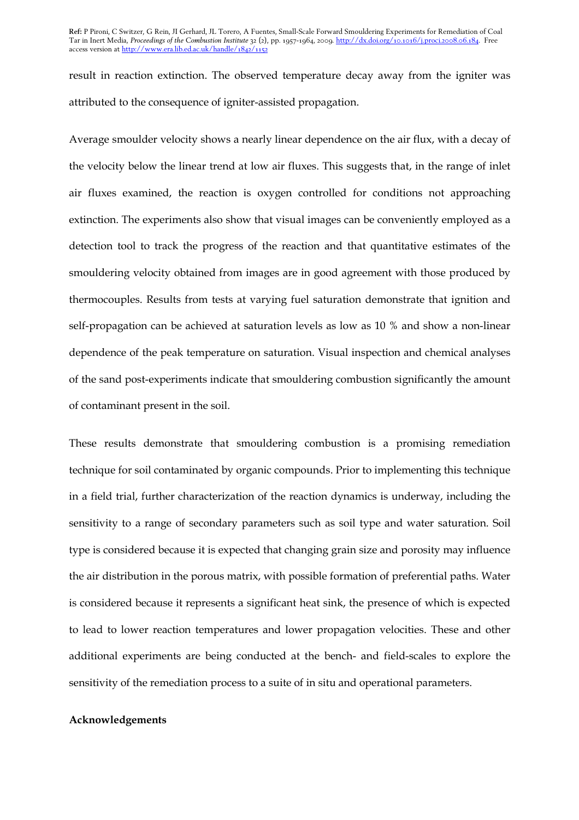result in reaction extinction. The observed temperature decay away from the igniter was attributed to the consequence of igniter-assisted propagation.

Average smoulder velocity shows a nearly linear dependence on the air flux, with a decay of the velocity below the linear trend at low air fluxes. This suggests that, in the range of inlet air fluxes examined, the reaction is oxygen controlled for conditions not approaching extinction. The experiments also show that visual images can be conveniently employed as a detection tool to track the progress of the reaction and that quantitative estimates of the smouldering velocity obtained from images are in good agreement with those produced by thermocouples. Results from tests at varying fuel saturation demonstrate that ignition and self-propagation can be achieved at saturation levels as low as 10 % and show a non-linear dependence of the peak temperature on saturation. Visual inspection and chemical analyses of the sand post-experiments indicate that smouldering combustion significantly the amount of contaminant present in the soil.

These results demonstrate that smouldering combustion is a promising remediation technique for soil contaminated by organic compounds. Prior to implementing this technique in a field trial, further characterization of the reaction dynamics is underway, including the sensitivity to a range of secondary parameters such as soil type and water saturation. Soil type is considered because it is expected that changing grain size and porosity may influence the air distribution in the porous matrix, with possible formation of preferential paths. Water is considered because it represents a significant heat sink, the presence of which is expected to lead to lower reaction temperatures and lower propagation velocities. These and other additional experiments are being conducted at the bench- and field-scales to explore the sensitivity of the remediation process to a suite of in situ and operational parameters.

#### Acknowledgements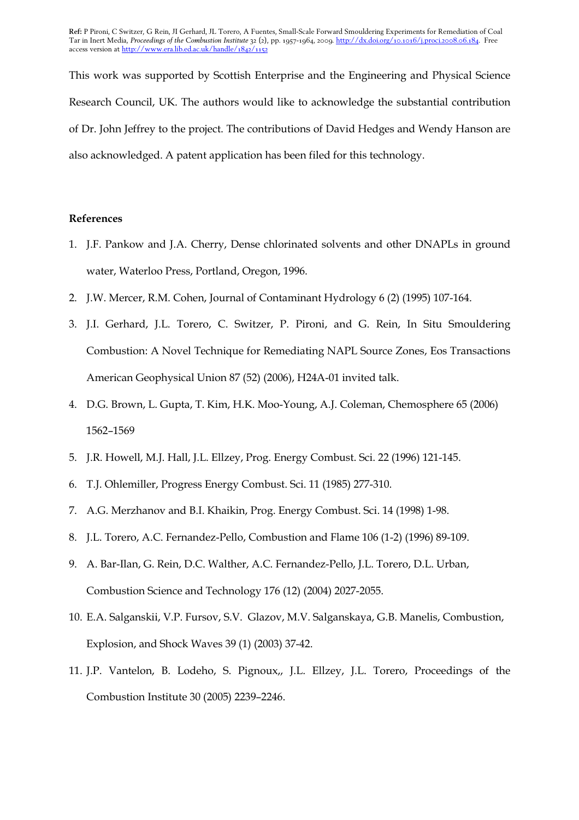This work was supported by Scottish Enterprise and the Engineering and Physical Science Research Council, UK. The authors would like to acknowledge the substantial contribution of Dr. John Jeffrey to the project. The contributions of David Hedges and Wendy Hanson are also acknowledged. A patent application has been filed for this technology.

# References

- 1. J.F. Pankow and J.A. Cherry, Dense chlorinated solvents and other DNAPLs in ground water, Waterloo Press, Portland, Oregon, 1996.
- 2. J.W. Mercer, R.M. Cohen, Journal of Contaminant Hydrology 6 (2) (1995) 107-164.
- 3. J.I. Gerhard, J.L. Torero, C. Switzer, P. Pironi, and G. Rein, In Situ Smouldering Combustion: A Novel Technique for Remediating NAPL Source Zones, Eos Transactions American Geophysical Union 87 (52) (2006), H24A-01 invited talk.
- 4. D.G. Brown, L. Gupta, T. Kim, H.K. Moo-Young, A.J. Coleman, Chemosphere 65 (2006) 1562–1569
- 5. J.R. Howell, M.J. Hall, J.L. Ellzey, Prog. Energy Combust. Sci. 22 (1996) 121-145.
- 6. T.J. Ohlemiller, Progress Energy Combust. Sci. 11 (1985) 277-310.
- 7. A.G. Merzhanov and B.I. Khaikin, Prog. Energy Combust. Sci. 14 (1998) 1-98.
- 8. J.L. Torero, A.C. Fernandez-Pello, Combustion and Flame 106 (1-2) (1996) 89-109.
- 9. A. Bar-Ilan, G. Rein, D.C. Walther, A.C. Fernandez-Pello, J.L. Torero, D.L. Urban, Combustion Science and Technology 176 (12) (2004) 2027-2055.
- 10. E.A. Salganskii, V.P. Fursov, S.V. Glazov, M.V. Salganskaya, G.B. Manelis, Combustion, Explosion, and Shock Waves 39 (1) (2003) 37-42.
- 11. J.P. Vantelon, B. Lodeho, S. Pignoux,, J.L. Ellzey, J.L. Torero, Proceedings of the Combustion Institute 30 (2005) 2239–2246.